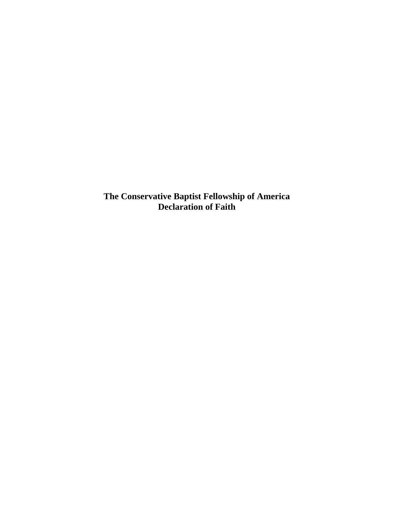**The Conservative Baptist Fellowship of America Declaration of Faith**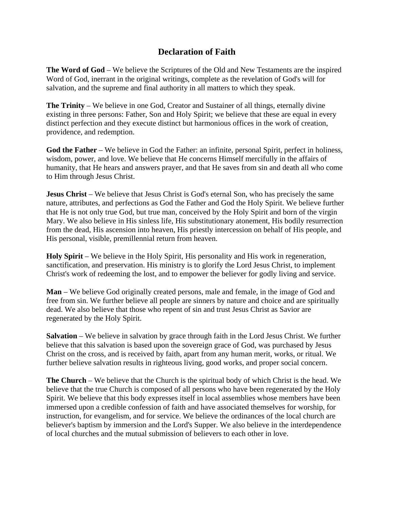## **Declaration of Faith**

**The Word of God** – We believe the Scriptures of the Old and New Testaments are the inspired Word of God, inerrant in the original writings, complete as the revelation of God's will for salvation, and the supreme and final authority in all matters to which they speak.

**The Trinity** – We believe in one God, Creator and Sustainer of all things, eternally divine existing in three persons: Father, Son and Holy Spirit; we believe that these are equal in every distinct perfection and they execute distinct but harmonious offices in the work of creation, providence, and redemption.

**God the Father** – We believe in God the Father: an infinite, personal Spirit, perfect in holiness, wisdom, power, and love. We believe that He concerns Himself mercifully in the affairs of humanity, that He hears and answers prayer, and that He saves from sin and death all who come to Him through Jesus Christ.

**Jesus Christ** – We believe that Jesus Christ is God's eternal Son, who has precisely the same nature, attributes, and perfections as God the Father and God the Holy Spirit. We believe further that He is not only true God, but true man, conceived by the Holy Spirit and born of the virgin Mary. We also believe in His sinless life, His substitutionary atonement, His bodily resurrection from the dead, His ascension into heaven, His priestly intercession on behalf of His people, and His personal, visible, premillennial return from heaven.

**Holy Spirit** – We believe in the Holy Spirit, His personality and His work in regeneration, sanctification, and preservation. His ministry is to glorify the Lord Jesus Christ, to implement Christ's work of redeeming the lost, and to empower the believer for godly living and service.

**Man** – We believe God originally created persons, male and female, in the image of God and free from sin. We further believe all people are sinners by nature and choice and are spiritually dead. We also believe that those who repent of sin and trust Jesus Christ as Savior are regenerated by the Holy Spirit.

**Salvation** – We believe in salvation by grace through faith in the Lord Jesus Christ. We further believe that this salvation is based upon the sovereign grace of God, was purchased by Jesus Christ on the cross, and is received by faith, apart from any human merit, works, or ritual. We further believe salvation results in righteous living, good works, and proper social concern.

**The Church** – We believe that the Church is the spiritual body of which Christ is the head. We believe that the true Church is composed of all persons who have been regenerated by the Holy Spirit. We believe that this body expresses itself in local assemblies whose members have been immersed upon a credible confession of faith and have associated themselves for worship, for instruction, for evangelism, and for service. We believe the ordinances of the local church are believer's baptism by immersion and the Lord's Supper. We also believe in the interdependence of local churches and the mutual submission of believers to each other in love.